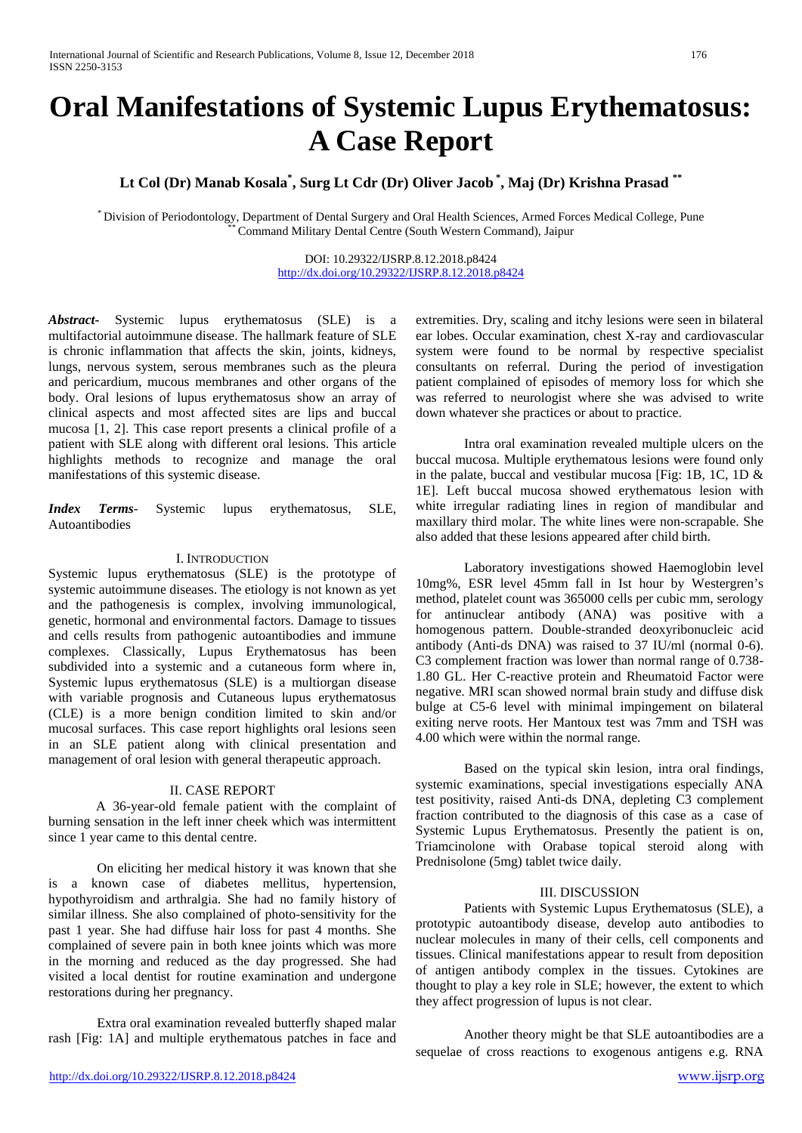# **Oral Manifestations of Systemic Lupus Erythematosus: A Case Report**

**Lt Col (Dr) Manab Kosala\* , Surg Lt Cdr (Dr) Oliver Jacob \* , Maj (Dr) Krishna Prasad \*\***

\* Division of Periodontology, Department of Dental Surgery and Oral Health Sciences, Armed Forces Medical College, Pune \*\* Command Military Dental Centre (South Western Command), Jaipur

DOI: 10.29322/IJSRP.8.12.2018.p8424 <http://dx.doi.org/10.29322/IJSRP.8.12.2018.p8424>

*Abstract***-** Systemic lupus erythematosus (SLE) is a multifactorial autoimmune disease. The hallmark feature of SLE is chronic inflammation that affects the skin, joints, kidneys, lungs, nervous system, serous membranes such as the pleura and pericardium, mucous membranes and other organs of the body. Oral lesions of lupus erythematosus show an array of clinical aspects and most affected sites are lips and buccal mucosa [1, 2]. This case report presents a clinical profile of a patient with SLE along with different oral lesions. This article highlights methods to recognize and manage the oral manifestations of this systemic disease.

*Index Terms*- Systemic lupus erythematosus, SLE, Autoantibodies

### I. INTRODUCTION

Systemic lupus erythematosus (SLE) is the prototype of systemic autoimmune diseases. The etiology is not known as yet and the pathogenesis is complex, involving immunological, genetic, hormonal and environmental factors. Damage to tissues and cells results from pathogenic autoantibodies and immune complexes. Classically, Lupus Erythematosus has been subdivided into a systemic and a cutaneous form where in, Systemic lupus erythematosus (SLE) is a multiorgan disease with variable prognosis and Cutaneous lupus erythematosus (CLE) is a more benign condition limited to skin and/or mucosal surfaces. This case report highlights oral lesions seen in an SLE patient along with clinical presentation and management of oral lesion with general therapeutic approach.

### II. CASE REPORT

A 36-year-old female patient with the complaint of burning sensation in the left inner cheek which was intermittent since 1 year came to this dental centre.

On eliciting her medical history it was known that she is a known case of diabetes mellitus, hypertension, hypothyroidism and arthralgia. She had no family history of similar illness. She also complained of photo-sensitivity for the past 1 year. She had diffuse hair loss for past 4 months. She complained of severe pain in both knee joints which was more in the morning and reduced as the day progressed. She had visited a local dentist for routine examination and undergone restorations during her pregnancy.

Extra oral examination revealed butterfly shaped malar rash [Fig: 1A] and multiple erythematous patches in face and extremities. Dry, scaling and itchy lesions were seen in bilateral ear lobes. Occular examination, chest X-ray and cardiovascular system were found to be normal by respective specialist consultants on referral. During the period of investigation patient complained of episodes of memory loss for which she was referred to neurologist where she was advised to write down whatever she practices or about to practice.

Intra oral examination revealed multiple ulcers on the buccal mucosa. Multiple erythematous lesions were found only in the palate, buccal and vestibular mucosa [Fig: 1B, 1C, 1D  $\&$ 1E]. Left buccal mucosa showed erythematous lesion with white irregular radiating lines in region of mandibular and maxillary third molar. The white lines were non-scrapable. She also added that these lesions appeared after child birth.

Laboratory investigations showed Haemoglobin level 10mg%, ESR level 45mm fall in Ist hour by Westergren's method, platelet count was 365000 cells per cubic mm, serology for antinuclear antibody (ANA) was positive with a homogenous pattern. Double-stranded deoxyribonucleic acid antibody (Anti-ds DNA) was raised to 37 IU/ml (normal 0-6). C3 complement fraction was lower than normal range of 0.738- 1.80 GL. Her C-reactive protein and Rheumatoid Factor were negative. MRI scan showed normal brain study and diffuse disk bulge at C5-6 level with minimal impingement on bilateral exiting nerve roots. Her Mantoux test was 7mm and TSH was 4.00 which were within the normal range.

Based on the typical skin lesion, intra oral findings, systemic examinations, special investigations especially ANA test positivity, raised Anti-ds DNA, depleting C3 complement fraction contributed to the diagnosis of this case as a case of Systemic Lupus Erythematosus. Presently the patient is on, Triamcinolone with Orabase topical steroid along with Prednisolone (5mg) tablet twice daily.

## III. DISCUSSION

Patients with Systemic Lupus Erythematosus (SLE), a prototypic autoantibody disease, develop auto antibodies to nuclear molecules in many of their cells, cell components and tissues. Clinical manifestations appear to result from deposition of antigen antibody complex in the tissues. Cytokines are thought to play a key role in SLE; however, the extent to which they affect progression of lupus is not clear.

Another theory might be that SLE autoantibodies are a sequelae of cross reactions to exogenous antigens e.g. RNA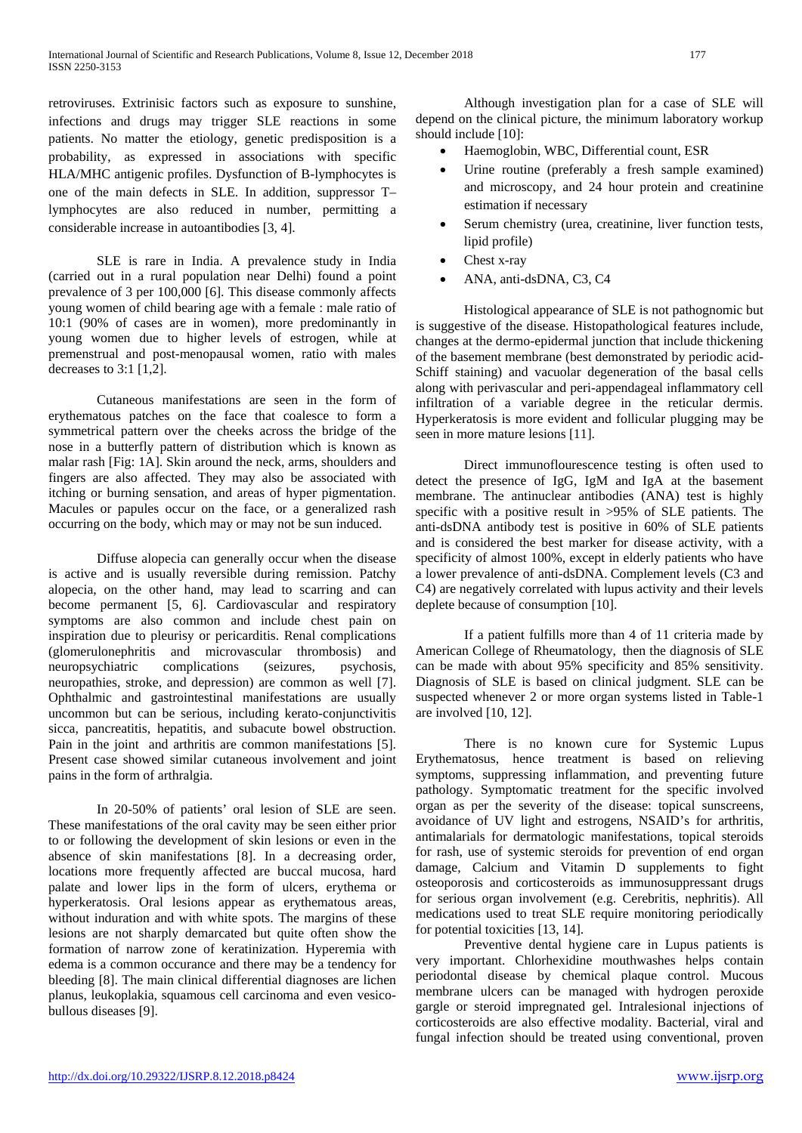retroviruses. Extrinisic factors such as exposure to sunshine, infections and drugs may trigger SLE reactions in some patients. No matter the etiology, genetic predisposition is a probability, as expressed in associations with specific HLA/MHC antigenic profiles. Dysfunction of B-lymphocytes is one of the main defects in SLE. In addition, suppressor T– lymphocytes are also reduced in number, permitting a considerable increase in autoantibodies [3, 4].

SLE is rare in India. A prevalence study in India (carried out in a rural population near Delhi) found a point prevalence of 3 per 100,000 [6]. This disease commonly affects young women of child bearing age with a female : male ratio of 10:1 (90% of cases are in women), more predominantly in young women due to higher levels of estrogen, while at premenstrual and post-menopausal women, ratio with males decreases to 3:1 [1,2].

Cutaneous manifestations are seen in the form of erythematous patches on the face that coalesce to form a symmetrical pattern over the cheeks across the bridge of the nose in a butterfly pattern of distribution which is known as malar rash [Fig: 1A]. Skin around the neck, arms, shoulders and fingers are also affected. They may also be associated with itching or burning sensation, and areas of hyper pigmentation. Macules or papules occur on the face, or a generalized rash occurring on the body, which may or may not be sun induced.

Diffuse alopecia can generally occur when the disease is active and is usually reversible during remission. Patchy alopecia, on the other hand, may lead to scarring and can become permanent [5, 6]. Cardiovascular and respiratory symptoms are also common and include chest pain on inspiration due to pleurisy or pericarditis. Renal complications (glomerulonephritis and microvascular thrombosis) and neuropsychiatric complications (seizures, psychosis, neuropathies, stroke, and depression) are common as well [7]. Ophthalmic and gastrointestinal manifestations are usually uncommon but can be serious, including kerato-conjunctivitis sicca, pancreatitis, hepatitis, and subacute bowel obstruction. Pain in the joint and arthritis are common manifestations [5]. Present case showed similar cutaneous involvement and joint pains in the form of arthralgia.

In 20-50% of patients' oral lesion of SLE are seen. These manifestations of the oral cavity may be seen either prior to or following the development of skin lesions or even in the absence of skin manifestations [8]. In a decreasing order, locations more frequently affected are buccal mucosa, hard palate and lower lips in the form of ulcers, erythema or hyperkeratosis. Oral lesions appear as erythematous areas, without induration and with white spots. The margins of these lesions are not sharply demarcated but quite often show the formation of narrow zone of keratinization. Hyperemia with edema is a common occurance and there may be a tendency for bleeding [8]. The main clinical differential diagnoses are lichen planus, leukoplakia, squamous cell carcinoma and even vesicobullous diseases [9].

Although investigation plan for a case of SLE will depend on the clinical picture, the minimum laboratory workup should include [10]:

- Haemoglobin, WBC, Differential count, ESR
- Urine routine (preferably a fresh sample examined) and microscopy, and 24 hour protein and creatinine estimation if necessary
- Serum chemistry (urea, creatinine, liver function tests, lipid profile)
- Chest x-ray
- ANA, anti-dsDNA, C3, C4

Histological appearance of SLE is not pathognomic but is suggestive of the disease. Histopathological features include, changes at the dermo-epidermal junction that include thickening of the basement membrane (best demonstrated by periodic acid-Schiff staining) and vacuolar degeneration of the basal cells along with perivascular and peri-appendageal inflammatory cell infiltration of a variable degree in the reticular dermis. Hyperkeratosis is more evident and follicular plugging may be seen in more mature lesions [11].

Direct immunoflourescence testing is often used to detect the presence of IgG, IgM and IgA at the basement membrane. The antinuclear antibodies (ANA) test is highly specific with a positive result in >95% of SLE patients. The anti-dsDNA antibody test is positive in 60% of SLE patients and is considered the best marker for disease activity, with a specificity of almost 100%, except in elderly patients who have a lower prevalence of anti-dsDNA. Complement levels (C3 and C4) are negatively correlated with lupus activity and their levels deplete because of consumption [10].

If a patient fulfills more than 4 of 11 criteria made by American College of Rheumatology, then the diagnosis of SLE can be made with about 95% specificity and 85% sensitivity. Diagnosis of SLE is based on clinical judgment. SLE can be suspected whenever 2 or more organ systems listed in Table-1 are involved [10, 12].

There is no known cure for Systemic Lupus Erythematosus, hence treatment is based on relieving symptoms, suppressing inflammation, and preventing future pathology. Symptomatic treatment for the specific involved organ as per the severity of the disease: topical sunscreens, avoidance of UV light and estrogens, NSAID's for arthritis, antimalarials for dermatologic manifestations, topical steroids for rash, use of systemic steroids for prevention of end organ damage, Calcium and Vitamin D supplements to fight osteoporosis and corticosteroids as immunosuppressant drugs for serious organ involvement (e.g. Cerebritis, nephritis). All medications used to treat SLE require monitoring periodically for potential toxicities [13, 14].

Preventive dental hygiene care in Lupus patients is very important. Chlorhexidine mouthwashes helps contain periodontal disease by chemical plaque control. Mucous membrane ulcers can be managed with hydrogen peroxide gargle or steroid impregnated gel. Intralesional injections of corticosteroids are also effective modality. Bacterial, viral and fungal infection should be treated using conventional, proven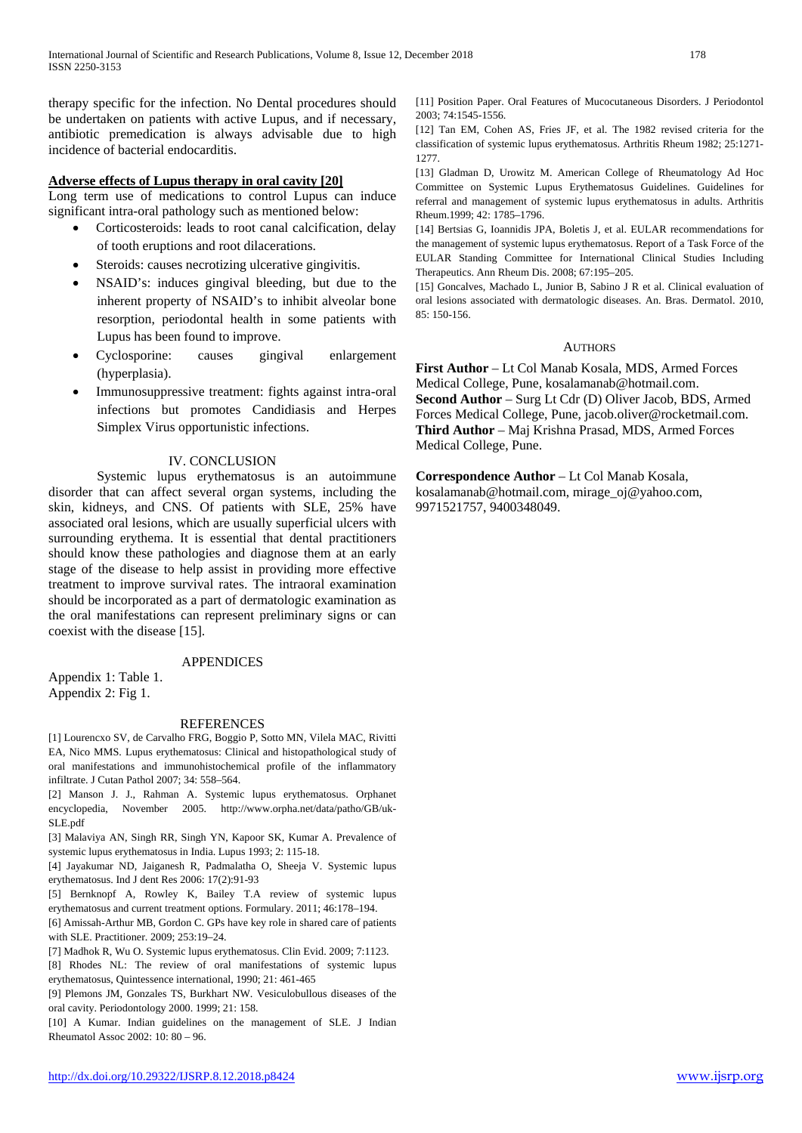therapy specific for the infection. No Dental procedures should be undertaken on patients with active Lupus, and if necessary, antibiotic premedication is always advisable due to high incidence of bacterial endocarditis.

## **Adverse effects of Lupus therapy in oral cavity [20]**

Long term use of medications to control Lupus can induce significant intra-oral pathology such as mentioned below:

- Corticosteroids: leads to root canal calcification, delay of tooth eruptions and root dilacerations.
- Steroids: causes necrotizing ulcerative gingivitis.
- NSAID's: induces gingival bleeding, but due to the inherent property of NSAID's to inhibit alveolar bone resorption, periodontal health in some patients with Lupus has been found to improve.
- Cyclosporine: causes gingival enlargement (hyperplasia).
- Immunosuppressive treatment: fights against intra-oral infections but promotes Candidiasis and Herpes Simplex Virus opportunistic infections.

## IV. CONCLUSION

Systemic lupus erythematosus is an autoimmune disorder that can affect several organ systems, including the skin, kidneys, and CNS. Of patients with SLE, 25% have associated oral lesions, which are usually superficial ulcers with surrounding erythema. It is essential that dental practitioners should know these pathologies and diagnose them at an early stage of the disease to help assist in providing more effective treatment to improve survival rates. The intraoral examination should be incorporated as a part of dermatologic examination as the oral manifestations can represent preliminary signs or can coexist with the disease [15].

# APPENDICES

Appendix 1: Table 1. Appendix 2: Fig 1.

### REFERENCES

[1] Lourencxo SV, de Carvalho FRG, Boggio P, Sotto MN, Vilela MAC, Rivitti EA, Nico MMS. Lupus erythematosus: Clinical and histopathological study of oral manifestations and immunohistochemical profile of the inflammatory infiltrate. J Cutan Pathol 2007; 34: 558–564.

[2] Manson J. J., Rahman A. Systemic lupus erythematosus. Orphanet encyclopedia, November 2005. http://www.orpha.net/data/patho/GB/uk-SLE.pdf

[3] Malaviya AN, Singh RR, Singh YN, Kapoor SK, Kumar A. Prevalence of systemic lupus erythematosus in India. Lupus 1993; 2: 115-18.

[4] Jayakumar ND, Jaiganesh R, Padmalatha O, Sheeja V. Systemic lupus erythematosus. Ind J dent Res 2006: 17(2):91-93

[5] Bernknopf A, Rowley K, Bailey T.A review of systemic lupus erythematosus and current treatment options. Formulary. 2011; 46:178–194.

[6] Amissah-Arthur MB, Gordon C. GPs have key role in shared care of patients with SLE. Practitioner. 2009; 253:19–24.

[7] Madhok R, Wu O. Systemic lupus erythematosus. Clin Evid. 2009; 7:1123.

[8] Rhodes NL: The review of oral manifestations of systemic lupus erythematosus, Quintessence international, 1990; 21: 461-465

[9] Plemons JM, Gonzales TS, Burkhart NW. Vesiculobullous diseases of the oral cavity. Periodontology 2000. 1999; 21: 158.

[10] A Kumar. Indian guidelines on the management of SLE. J Indian Rheumatol Assoc 2002: 10: 80 – 96.

[11] Position Paper. Oral Features of Mucocutaneous Disorders. J Periodontol 2003; 74:1545-1556.

[12] Tan EM, Cohen AS, Fries JF, et al. The 1982 revised criteria for the classification of systemic lupus erythematosus. Arthritis Rheum 1982; 25:1271- 1277.

[13] Gladman D, Urowitz M. American College of Rheumatology Ad Hoc Committee on Systemic Lupus Erythematosus Guidelines. Guidelines for referral and management of systemic lupus erythematosus in adults. Arthritis Rheum.1999; 42: 1785–1796.

[14] Bertsias G, Ioannidis JPA, Boletis J, et al. EULAR recommendations for the management of systemic lupus erythematosus. Report of a Task Force of the EULAR Standing Committee for International Clinical Studies Including Therapeutics. Ann Rheum Dis. 2008; 67:195–205.

[15] Goncalves, Machado L, Junior B, Sabino J R et al. Clinical evaluation of oral lesions associated with dermatologic diseases. An. Bras. Dermatol. 2010, 85: 150-156.

### **AUTHORS**

**First Author** – Lt Col Manab Kosala, MDS, Armed Forces Medical College, Pune, kosalamanab@hotmail.com. **Second Author** – Surg Lt Cdr (D) Oliver Jacob, BDS, Armed Forces Medical College, Pune, jacob.oliver@rocketmail.com. **Third Author** – Maj Krishna Prasad, MDS, Armed Forces Medical College, Pune.

**Correspondence Author** – Lt Col Manab Kosala, kosalamanab@hotmail.com, mirage\_oj@yahoo.com, 9971521757, 9400348049.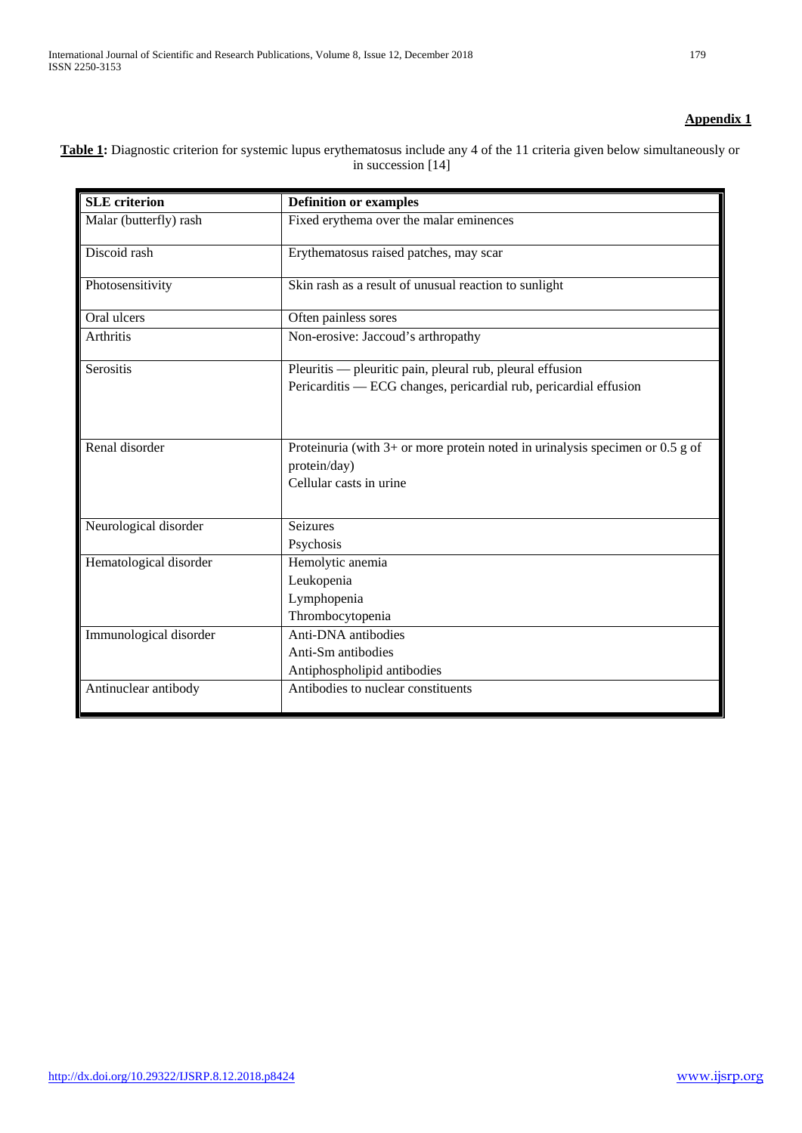# **Appendix 1**

| <b>SLE</b> criterion   | <b>Definition or examples</b>                                                                                              |
|------------------------|----------------------------------------------------------------------------------------------------------------------------|
| Malar (butterfly) rash | Fixed erythema over the malar eminences                                                                                    |
| Discoid rash           | Erythematosus raised patches, may scar                                                                                     |
| Photosensitivity       | Skin rash as a result of unusual reaction to sunlight                                                                      |
| Oral ulcers            | Often painless sores                                                                                                       |
| Arthritis              | Non-erosive: Jaccoud's arthropathy                                                                                         |
| Serositis              | Pleuritis — pleuritic pain, pleural rub, pleural effusion                                                                  |
|                        | Pericarditis — ECG changes, pericardial rub, pericardial effusion                                                          |
| Renal disorder         | Proteinuria (with $3+$ or more protein noted in urinalysis specimen or 0.5 g of<br>protein/day)<br>Cellular casts in urine |
| Neurological disorder  | <b>Seizures</b>                                                                                                            |
|                        | Psychosis                                                                                                                  |
| Hematological disorder | Hemolytic anemia                                                                                                           |
|                        | Leukopenia                                                                                                                 |
|                        | Lymphopenia<br>Thrombocytopenia                                                                                            |
|                        | Anti-DNA antibodies                                                                                                        |
| Immunological disorder | Anti-Sm antibodies                                                                                                         |
|                        | Antiphospholipid antibodies                                                                                                |
| Antinuclear antibody   | Antibodies to nuclear constituents                                                                                         |
|                        |                                                                                                                            |

**Table 1:** Diagnostic criterion for systemic lupus erythematosus include any 4 of the 11 criteria given below simultaneously or in succession [14]